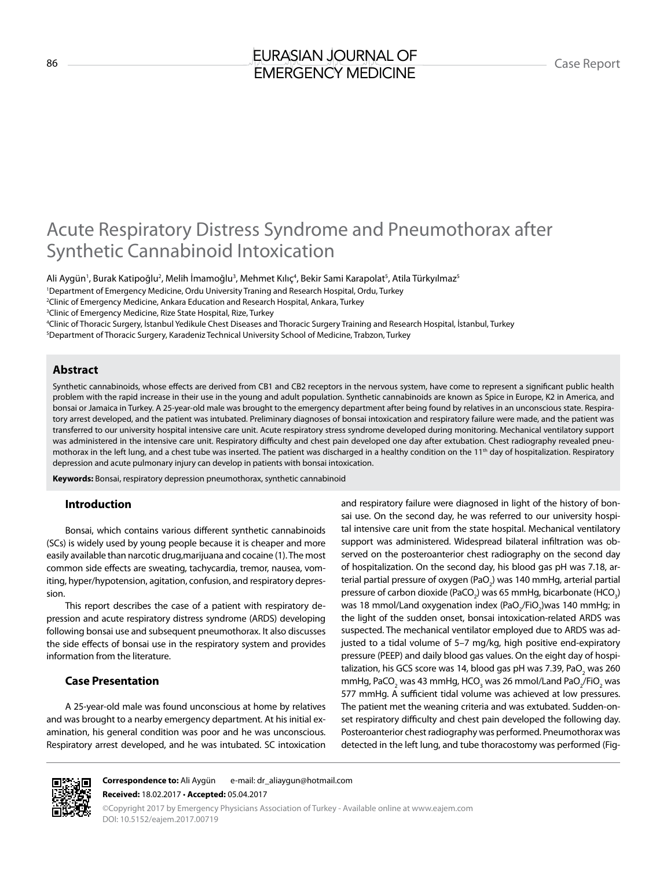# EURASIAN JOURNAL OF Case Report EMERGENCY MEDICINE

# Acute Respiratory Distress Syndrome and Pneumothorax after Synthetic Cannabinoid Intoxication

Ali Aygün', Burak Katipoğlu<sup>2</sup>, Melih İmamoğlu<sup>3</sup>, Mehmet Kılıç<sup>4</sup>, Bekir Sami Karapolat<sup>5</sup>, Atila Türkyılmaz<sup>s</sup>

1 Department of Emergency Medicine, Ordu University Traning and Research Hospital, Ordu, Turkey

2 Clinic of Emergency Medicine, Ankara Education and Research Hospital, Ankara, Turkey

3 Clinic of Emergency Medicine, Rize State Hospital, Rize, Turkey

4 Clinic of Thoracic Surgery, İstanbul Yedikule Chest Diseases and Thoracic Surgery Training and Research Hospital, İstanbul, Turkey

5 Department of Thoracic Surgery, Karadeniz Technical University School of Medicine, Trabzon, Turkey

# **Abstract**

Synthetic cannabinoids, whose effects are derived from CB1 and CB2 receptors in the nervous system, have come to represent a significant public health problem with the rapid increase in their use in the young and adult population. Synthetic cannabinoids are known as Spice in Europe, K2 in America, and bonsai or Jamaica in Turkey. A 25-year-old male was brought to the emergency department after being found by relatives in an unconscious state. Respiratory arrest developed, and the patient was intubated. Preliminary diagnoses of bonsai intoxication and respiratory failure were made, and the patient was transferred to our university hospital intensive care unit. Acute respiratory stress syndrome developed during monitoring. Mechanical ventilatory support was administered in the intensive care unit. Respiratory difficulty and chest pain developed one day after extubation. Chest radiography revealed pneumothorax in the left lung, and a chest tube was inserted. The patient was discharged in a healthy condition on the  $11<sup>th</sup>$  day of hospitalization. Respiratory depression and acute pulmonary injury can develop in patients with bonsai intoxication.

**Keywords:** Bonsai, respiratory depression pneumothorax, synthetic cannabinoid

#### **Introduction**

Bonsai, which contains various different synthetic cannabinoids (SCs) is widely used by young people because it is cheaper and more easily available than narcotic drug,marijuana and cocaine (1). The most common side effects are sweating, tachycardia, tremor, nausea, vomiting, hyper/hypotension, agitation, confusion, and respiratory depression.

This report describes the case of a patient with respiratory depression and acute respiratory distress syndrome (ARDS) developing following bonsai use and subsequent pneumothorax. It also discusses the side effects of bonsai use in the respiratory system and provides information from the literature.

# **Case Presentation**

A 25-year-old male was found unconscious at home by relatives and was brought to a nearby emergency department. At his initial examination, his general condition was poor and he was unconscious. Respiratory arrest developed, and he was intubated. SC intoxication

and respiratory failure were diagnosed in light of the history of bonsai use. On the second day, he was referred to our university hospital intensive care unit from the state hospital. Mechanical ventilatory support was administered. Widespread bilateral infiltration was observed on the posteroanterior chest radiography on the second day of hospitalization. On the second day, his blood gas pH was 7.18, arterial partial pressure of oxygen (PaO $_{\rm 2}$ ) was 140 mmHg, arterial partial pressure of carbon dioxide (PaCO<sub>2</sub>) was 65 mmHg, bicarbonate (HCO<sub>3</sub>) was 18 mmol/Land oxygenation index (PaO<sub>2</sub>/FiO<sub>2</sub>)was 140 mmHg; in the light of the sudden onset, bonsai intoxication-related ARDS was suspected. The mechanical ventilator employed due to ARDS was adjusted to a tidal volume of 5–7 mg/kg, high positive end-expiratory pressure (PEEP) and daily blood gas values. On the eight day of hospitalization, his GCS score was 14, blood gas pH was 7.39, PaO $_{_2}$  was 260 mmHg, PaCO<sub>2</sub> was 43 mmHg, HCO<sub>3</sub> was 26 mmol/Land PaO<sub>2</sub>/FiO<sub>2</sub> was 577 mmHg. A sufficient tidal volume was achieved at low pressures. The patient met the weaning criteria and was extubated. Sudden-onset respiratory difficulty and chest pain developed the following day. Posteroanterior chest radiography was performed. Pneumothorax was detected in the left lung, and tube thoracostomy was performed (Fig-



**Correspondence to:** Ali Aygün e-mail: dr\_aliaygun@hotmail.com **Received:** 18.02.2017 • **Accepted:** 05.04.2017

©Copyright 2017 by Emergency Physicians Association of Turkey - Available online at www.eajem.com DOI: 10.5152/eajem.2017.00719